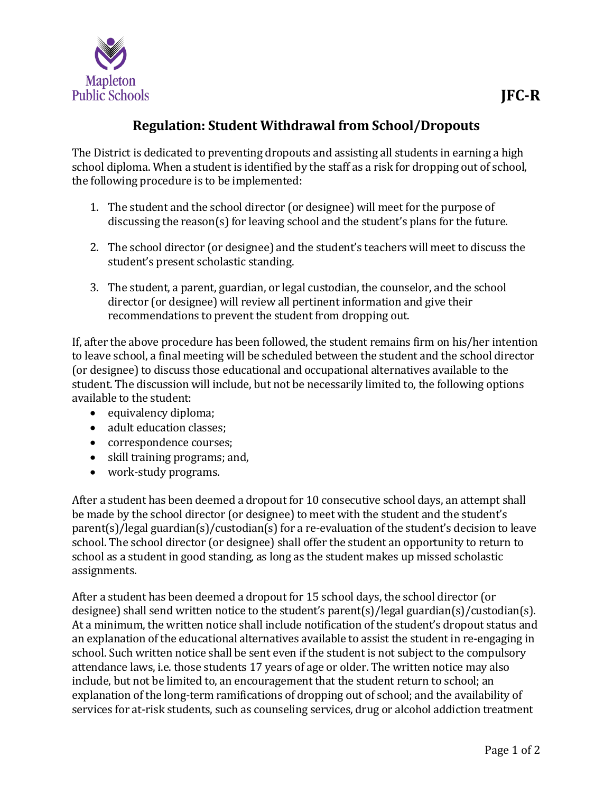

## **Regulation: Student Withdrawal from School/Dropouts**

The District is dedicated to preventing dropouts and assisting all students in earning a high school diploma. When a student is identified by the staff as a risk for dropping out of school, the following procedure is to be implemented:

- 1. The student and the school director (or designee) will meet for the purpose of discussing the reason(s) for leaving school and the student's plans for the future.
- 2. The school director (or designee) and the student's teachers will meet to discuss the student's present scholastic standing.
- 3. The student, a parent, guardian, or legal custodian, the counselor, and the school director (or designee) will review all pertinent information and give their recommendations to prevent the student from dropping out.

If, after the above procedure has been followed, the student remains firm on his/her intention to leave school, a final meeting will be scheduled between the student and the school director (or designee) to discuss those educational and occupational alternatives available to the student. The discussion will include, but not be necessarily limited to, the following options available to the student:

- equivalency diploma;
- adult education classes;
- correspondence courses;
- skill training programs; and,
- work-study programs.

After a student has been deemed a dropout for 10 consecutive school days, an attempt shall be made by the school director (or designee) to meet with the student and the student's parent(s)/legal guardian(s)/custodian(s) for a re-evaluation of the student's decision to leave school. The school director (or designee) shall offer the student an opportunity to return to school as a student in good standing, as long as the student makes up missed scholastic assignments.

After a student has been deemed a dropout for 15 school days, the school director (or designee) shall send written notice to the student's parent(s)/legal guardian(s)/custodian(s). At a minimum, the written notice shall include notification of the student's dropout status and an explanation of the educational alternatives available to assist the student in re-engaging in school. Such written notice shall be sent even if the student is not subject to the compulsory attendance laws, i.e. those students 17 years of age or older. The written notice may also include, but not be limited to, an encouragement that the student return to school; an explanation of the long-term ramifications of dropping out of school; and the availability of services for at-risk students, such as counseling services, drug or alcohol addiction treatment